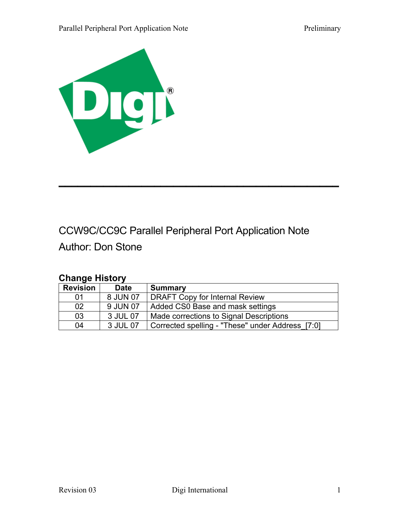

# CCW9C/CC9C Parallel Peripheral Port Application Note

 $\overline{\phantom{a}}$  , and the contract of the contract of the contract of the contract of the contract of the contract of the contract of the contract of the contract of the contract of the contract of the contract of the contrac

Author: Don Stone

# **Change History**

| <b>Revision</b> | <b>Date</b> | <b>Summary</b>                                   |
|-----------------|-------------|--------------------------------------------------|
| -01             | 8 JUN 07    | <b>DRAFT Copy for Internal Review</b>            |
| 02              | 9 JUN 07    | Added CS0 Base and mask settings                 |
| 03              | 3 JUL 07    | Made corrections to Signal Descriptions          |
| 04              | 3 JUL 07    | Corrected spelling - "These" under Address [7:0] |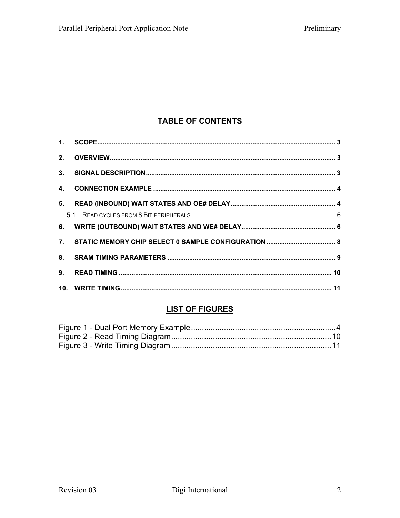# **TABLE OF CONTENTS**

# **LIST OF FIGURES**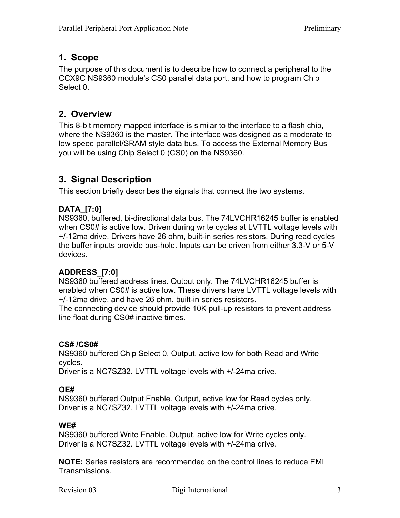## **1. Scope**

The purpose of this document is to describe how to connect a peripheral to the CCX9C NS9360 module's CS0 parallel data port, and how to program Chip Select 0.

### **2. Overview**

This 8-bit memory mapped interface is similar to the interface to a flash chip, where the NS9360 is the master. The interface was designed as a moderate to low speed parallel/SRAM style data bus. To access the External Memory Bus you will be using Chip Select 0 (CS0) on the NS9360.

# **3. Signal Description**

This section briefly describes the signals that connect the two systems.

#### **DATA\_[7:0]**

NS9360, buffered, bi-directional data bus. The 74LVCHR16245 buffer is enabled when CS0# is active low. Driven during write cycles at LVTTL voltage levels with +/-12ma drive. Drivers have 26 ohm, built-in series resistors. During read cycles the buffer inputs provide bus-hold. Inputs can be driven from either 3.3-V or 5-V devices.

#### **ADDRESS\_[7:0]**

NS9360 buffered address lines. Output only. The 74LVCHR16245 buffer is enabled when CS0# is active low. These drivers have LVTTL voltage levels with +/-12ma drive, and have 26 ohm, built-in series resistors.

The connecting device should provide 10K pull-up resistors to prevent address line float during CS0# inactive times.

#### **CS# /CS0#**

NS9360 buffered Chip Select 0. Output, active low for both Read and Write cycles.

Driver is a NC7SZ32. LVTTL voltage levels with +/-24ma drive.

#### **OE#**

NS9360 buffered Output Enable. Output, active low for Read cycles only. Driver is a NC7SZ32. LVTTL voltage levels with +/-24ma drive.

#### **WE#**

NS9360 buffered Write Enable. Output, active low for Write cycles only. Driver is a NC7SZ32. LVTTL voltage levels with +/-24ma drive.

**NOTE:** Series resistors are recommended on the control lines to reduce EMI Transmissions.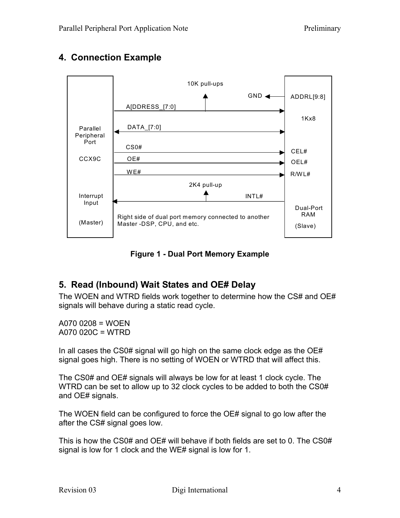# **4. Connection Example**



**Figure 1 - Dual Port Memory Example** 

# **5. Read (Inbound) Wait States and OE# Delay**

The WOEN and WTRD fields work together to determine how the CS# and OE# signals will behave during a static read cycle.

A070 0208 = WOEN A070 020C = WTRD

In all cases the CS0# signal will go high on the same clock edge as the OE# signal goes high. There is no setting of WOEN or WTRD that will affect this.

The CS0# and OE# signals will always be low for at least 1 clock cycle. The WTRD can be set to allow up to 32 clock cycles to be added to both the CS0# and OE# signals.

The WOEN field can be configured to force the OE# signal to go low after the after the CS# signal goes low.

This is how the CS0# and OE# will behave if both fields are set to 0. The CS0# signal is low for 1 clock and the WE# signal is low for 1.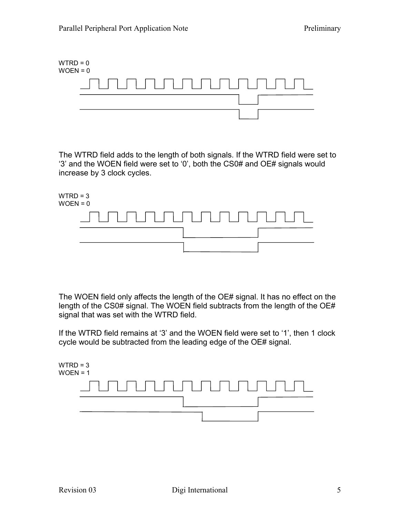

The WTRD field adds to the length of both signals. If the WTRD field were set to '3' and the WOEN field were set to '0', both the CS0# and OE# signals would increase by 3 clock cycles.



The WOEN field only affects the length of the OE# signal. It has no effect on the length of the CS0# signal. The WOEN field subtracts from the length of the OE# signal that was set with the WTRD field.

If the WTRD field remains at '3' and the WOEN field were set to '1', then 1 clock cycle would be subtracted from the leading edge of the OE# signal.

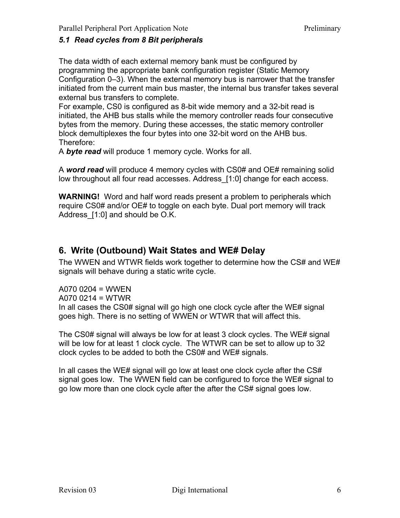#### *5.1 Read cycles from 8 Bit peripherals*

The data width of each external memory bank must be configured by programming the appropriate bank configuration register (Static Memory Configuration 0–3). When the external memory bus is narrower that the transfer initiated from the current main bus master, the internal bus transfer takes several external bus transfers to complete.

For example, CS0 is configured as 8-bit wide memory and a 32-bit read is initiated, the AHB bus stalls while the memory controller reads four consecutive bytes from the memory. During these accesses, the static memory controller block demultiplexes the four bytes into one 32-bit word on the AHB bus. Therefore:

A *byte read* will produce 1 memory cycle. Works for all.

A *word read* will produce 4 memory cycles with CS0# and OE# remaining solid low throughout all four read accesses. Address [1:0] change for each access.

**WARNING!** Word and half word reads present a problem to peripherals which require CS0# and/or OE# to toggle on each byte. Dual port memory will track Address\_[1:0] and should be O.K.

## **6. Write (Outbound) Wait States and WE# Delay**

The WWEN and WTWR fields work together to determine how the CS# and WE# signals will behave during a static write cycle.

A070 0204 = WWEN A070 0214 = WTWR In all cases the CS0# signal will go high one clock cycle after the WE# signal goes high. There is no setting of WWEN or WTWR that will affect this.

The CS0# signal will always be low for at least 3 clock cycles. The WE# signal will be low for at least 1 clock cycle. The WTWR can be set to allow up to 32 clock cycles to be added to both the CS0# and WE# signals.

In all cases the WE# signal will go low at least one clock cycle after the CS# signal goes low. The WWEN field can be configured to force the WE# signal to go low more than one clock cycle after the after the CS# signal goes low.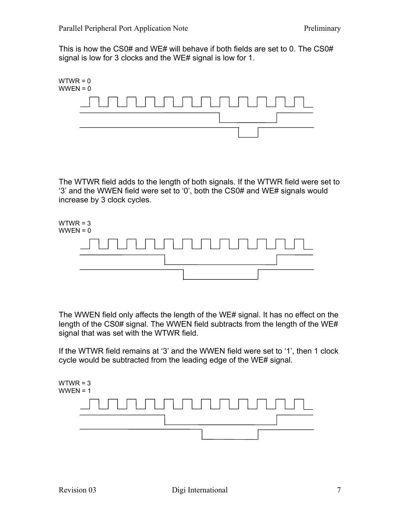This is how the CS0# and WE# will behave if both fields are set to 0. The CS0# signal is low for 3 clocks and the WE# signal is low for 1.



The WTWR field adds to the length of both signals. If the WTWR field were set to '3' and the WWEN field were set to '0', both the CS0# and WE# signals would increase by 3 clock cycles.



The WWEN field only affects the length of the WE# signal. It has no effect on the length of the CS0# signal. The WWEN field subtracts from the length of the WE# signal that was set with the WTWR field.

If the WTWR field remains at '3' and the WWEN field were set to '1', then 1 clock cycle would be subtracted from the leading edge of the WE# signal.

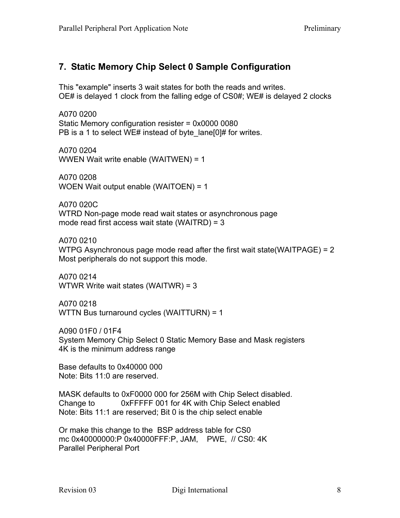# **7. Static Memory Chip Select 0 Sample Configuration**

This "example" inserts 3 wait states for both the reads and writes. OE# is delayed 1 clock from the falling edge of CS0#; WE# is delayed 2 clocks

A070 0200 Static Memory configuration resister = 0x0000 0080 PB is a 1 to select WE# instead of byte lane[0]# for writes.

A070 0204 WWEN Wait write enable (WAITWEN) = 1

A070 0208 WOEN Wait output enable (WAITOEN) = 1

A070 020C WTRD Non-page mode read wait states or asynchronous page mode read first access wait state (WAITRD) = 3

A070 0210 WTPG Asynchronous page mode read after the first wait state(WAITPAGE) = 2 Most peripherals do not support this mode.

A070 0214 WTWR Write wait states (WAITWR) = 3

A070 0218 WTTN Bus turnaround cycles (WAITTURN) = 1

A090 01F0 / 01F4 System Memory Chip Select 0 Static Memory Base and Mask registers 4K is the minimum address range

Base defaults to 0x40000 000 Note: Bits 11:0 are reserved.

MASK defaults to 0xF0000 000 for 256M with Chip Select disabled. Change to 0xFFFFF 001 for 4K with Chip Select enabled Note: Bits 11:1 are reserved; Bit 0 is the chip select enable

Or make this change to the BSP address table for CS0 mc 0x40000000:P 0x40000FFF:P, JAM, PWE, // CS0: 4K Parallel Peripheral Port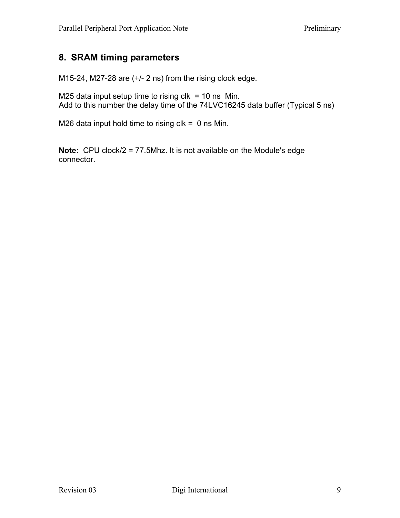## **8. SRAM timing parameters**

M15-24, M27-28 are (+/- 2 ns) from the rising clock edge.

M25 data input setup time to rising  $clk = 10$  ns Min. Add to this number the delay time of the 74LVC16245 data buffer (Typical 5 ns)

M26 data input hold time to rising  $clk = 0$  ns Min.

**Note:** CPU clock/2 = 77.5Mhz. It is not available on the Module's edge connector.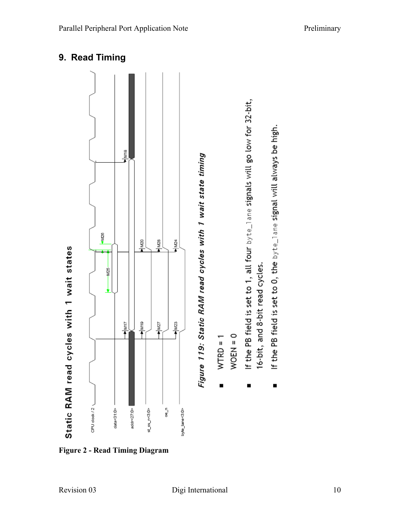

**Figure 2 - Read Timing Diagram** 

If the PB field is set to 0, the byte\_lane signal will always be high.

 $\blacksquare$ 

16-bit, and 8-bit read cycles.